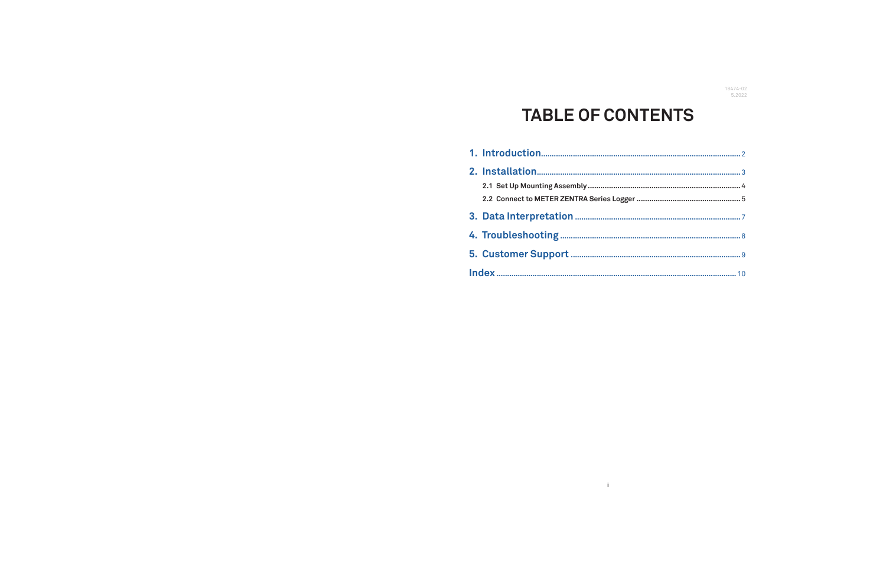# **TABLE OF CONTENTS**

 $\mathbf{I}^{\top}$ 

| 2.1 Set Up Mounting Assembly              |
|-------------------------------------------|
| 2.2 Connect to METER ZENTRA Series Logger |
|                                           |
|                                           |
|                                           |
|                                           |

18474-02<br>5.2022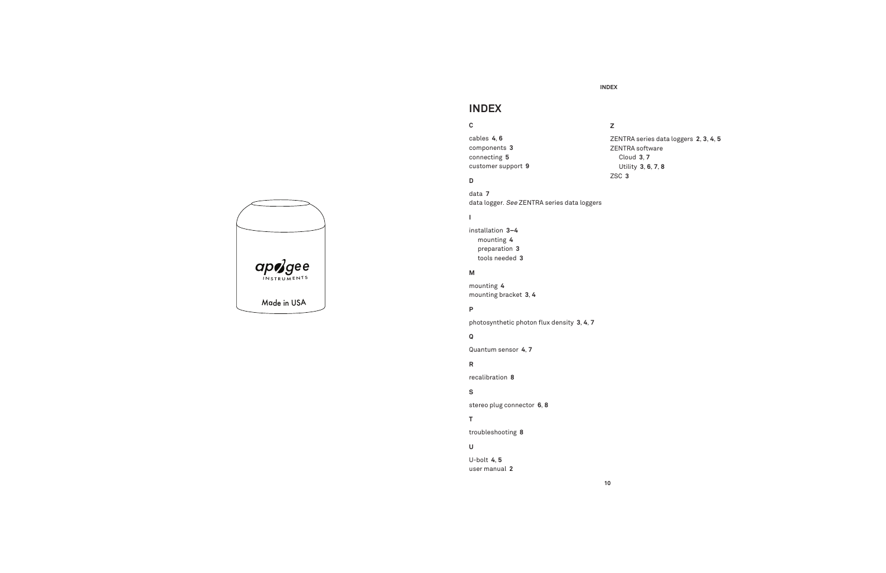

#### **INDEX**

**10**

## **INDEX**

#### **C**

cables **4**, **6** components **3** connecting **5** customer support **9**

#### **D**

data **7** data logger. See ZENTRA series data loggers

### $\mathbf{I}$

installation **3–4** mounting **4** preparation **3** tools needed **3**

### **M**

mounting **4** mounting bracket **3**, **4**

#### **P**

photosynthetic photon flux density 3, 4, 7

#### **Q**

Quantum sensor **4**, **7**

### **R**

recalibration **8**

#### **S**

stereo plug connector **6**, **8**

### **T**

troubleshooting **8**

## **U**

U-bolt **4**, **5** user manual **2**

## **Z**

ZENTRA series data loggers **2**, **3**, **4**, **5**

ZENTRA software Cloud **3**, **7** Utility **3**, **6**, **7**, **8** ZSC **3**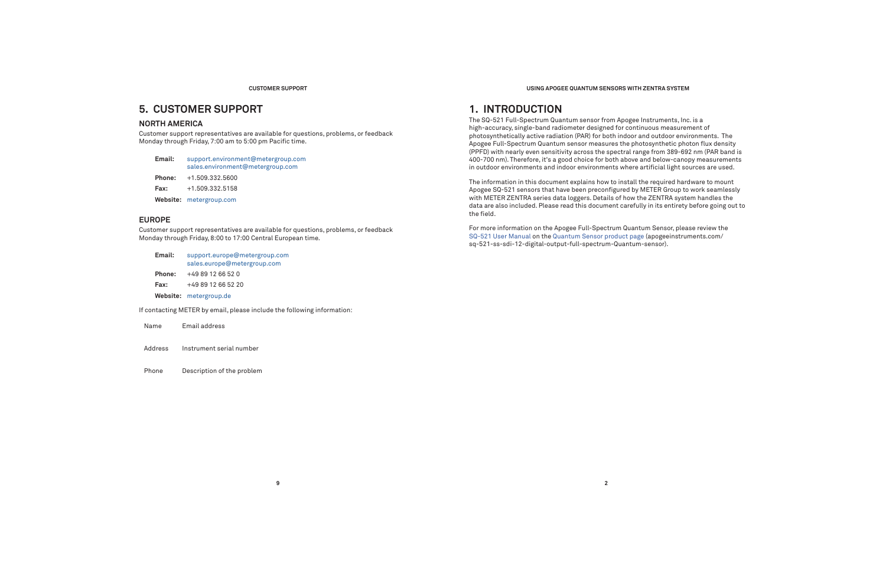#### **CUSTOMER SUPPORT**

## **5. CUSTOMER SUPPORT**

### **NORTH AMERICA**

Customer support representatives are available for questions, problems, or feedback Monday through Friday, 7:00 am to 5:00 pm Pacific time.

| Email: | support.environment@metergroup.com |
|--------|------------------------------------|
|        | sales.environment@metergroup.com   |

**Phone:** +1.509.332.5600

**Fax:**+1.509.332.5158

**Website:** metergroup.com

### **EUROPE**

Customer support representatives are available for questions, problems, or feedback Monday through Friday, 8:00 to 17:00 Central European time.

**9**

| Email:                                                                                                                                                                                                                            | support.europe@metergroup.com<br>sales.europe@metergroup.com |  |  |  |
|-----------------------------------------------------------------------------------------------------------------------------------------------------------------------------------------------------------------------------------|--------------------------------------------------------------|--|--|--|
| <b>Phone:</b>                                                                                                                                                                                                                     | +49 89 12 66 52 0                                            |  |  |  |
| Fax:                                                                                                                                                                                                                              | +49 89 12 66 52 20                                           |  |  |  |
|                                                                                                                                                                                                                                   | Website: metergroup.de                                       |  |  |  |
| $\mathbf{r}$ , the set of the set of the set of the set of the set of the set of the set of the set of the set of the set of the set of the set of the set of the set of the set of the set of the set of the set of the set of t |                                                              |  |  |  |

If contacting METER by email, please include the following information:

AddressInstrument serial number

Phone Description of the problem

**USING APOGEE QUANTUM SENSORS WITH ZENTRA SYSTEM**

## **1. INTRODUCTION**

The SQ-521 Full-Spectrum Quantum sensor from Apogee Instruments, Inc. is a high-accuracy, single-band radiometer designed for continuous measurement of photosynthetically active radiation (PAR) for both indoor and outdoor environments. The Apogee Full-Spectrum Quantum sensor measures the photosynthetic photon flux density (PPFD) with nearly even sensitivity across the spectral range from 389-692 nm (PAR band is 400-700 nm). Therefore, it's a good choice for both above and below-canopy measurements in outdoor environments and indoor environments where artificial light sources are used.

The information in this document explains how to install the required hardware to mount Apogee SQ-521 sensors that have been preconfigured by METER Group to work seamlessly with METER ZENTRA series data loggers. Details of how the ZENTRA system handles the data are also included. Please read this document carefully in its entirety before going out to the field.

For more information on the Apogee Full-Spectrum Quantum Sensor, please review the SQ-521 User Manual on the Quantum Sensor product page (apogeeinstruments.com/ sq-521-ss-sdi-12-digital-output-full-spectrum-Quantum-sensor).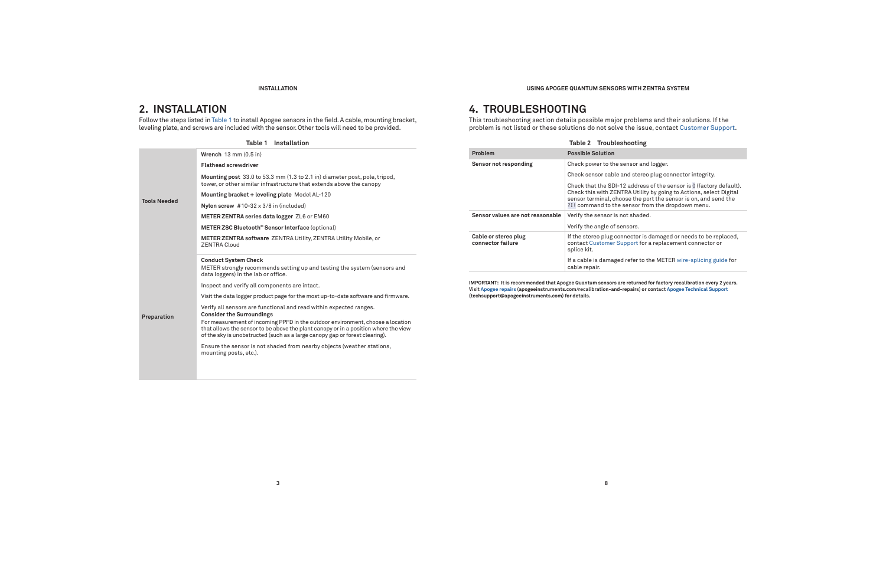#### **INSTALLATION**

## **2. INSTALLATION**

Follow the steps listed in Table 1 to install Apogee sensors in the field. A cable, mounting bracket, leveling plate, and screws are included with the sensor. Other tools will need to be provided.

| Wrench $13 \text{ mm} (0.5 \text{ in})$                                                                                                                                                                                                              |
|------------------------------------------------------------------------------------------------------------------------------------------------------------------------------------------------------------------------------------------------------|
| <b>Flathead screwdriver</b>                                                                                                                                                                                                                          |
| Mounting post 33.0 to 53.3 mm (1.3 to 2.1 in) diameter post, pole, tripod,<br>tower, or other similar infrastructure that extends above the canopy                                                                                                   |
| Mounting bracket + leveling plate Model AL-120                                                                                                                                                                                                       |
| Nylon screw $#10-32 \times 3/8$ in (included)                                                                                                                                                                                                        |
| METER ZENTRA series data logger ZL6 or EM60                                                                                                                                                                                                          |
| METER ZSC Bluetooth <sup>®</sup> Sensor Interface (optional)                                                                                                                                                                                         |
| <b>METER ZENTRA software ZENTRA Utility, ZENTRA Utility Mobile, or</b><br><b>ZENTRA Cloud</b>                                                                                                                                                        |
| <b>Conduct System Check</b>                                                                                                                                                                                                                          |
| METER strongly recommends setting up and testing the system (sensors and<br>data loggers) in the lab or office.                                                                                                                                      |
| Inspect and verify all components are intact.                                                                                                                                                                                                        |
| Visit the data logger product page for the most up-to-date software and firmware.                                                                                                                                                                    |
| Verify all sensors are functional and read within expected ranges.<br><b>Consider the Surroundings</b>                                                                                                                                               |
| For measurement of incoming PPFD in the outdoor environment, choose a location<br>that allows the sensor to be above the plant canopy or in a position where the view<br>of the sky is unobstructed (such as a large canopy gap or forest clearing). |
| Ensure the sensor is not shaded from nearby objects (weather stations,<br>mounting posts, etc.).                                                                                                                                                     |
|                                                                                                                                                                                                                                                      |

**8**

#### **USING APOGEE QUANTUM SENSORS WITH ZENTRA SYSTEM**

## **4. TROUBLESHOOTING**

This troubleshooting section details possible major problems and their solutions. If the problem is not listed or these solutions do not solve the issue, contact Customer Support.

|  |                                           | Table 2 Troubleshooting                                                                                                                                                                                                                                        |
|--|-------------------------------------------|----------------------------------------------------------------------------------------------------------------------------------------------------------------------------------------------------------------------------------------------------------------|
|  | Problem                                   | <b>Possible Solution</b>                                                                                                                                                                                                                                       |
|  | Sensor not responding                     | Check power to the sensor and logger.                                                                                                                                                                                                                          |
|  |                                           | Check sensor cable and stereo plug connector integrity.                                                                                                                                                                                                        |
|  |                                           | Check that the SDI-12 address of the sensor is 0 (factory default<br>Check this with ZENTRA Utility by going to Actions, select Digita<br>sensor terminal, choose the port the sensor is on, and send the<br>?I! command to the sensor from the dropdown menu. |
|  | Sensor values are not reasonable          | Verify the sensor is not shaded.                                                                                                                                                                                                                               |
|  |                                           | Verify the angle of sensors.                                                                                                                                                                                                                                   |
|  | Cable or stereo plug<br>connector failure | If the stereo plug connector is damaged or needs to be replaced<br>contact Customer Support for a replacement connector or<br>splice kit.                                                                                                                      |
|  |                                           | If a cable is damaged refer to the METER wire-splicing guide for<br>cable repair.                                                                                                                                                                              |

**IMPORTANT: It is recommended that Apogee Quantum sensors are returned for factory recalibration every 2 years. Visit Apogee repairs (apogeeinstruments.com/recalibration-and-repairs) or contact Apogee Technical Support (techsupport@apogeeinstruments.com) for details.**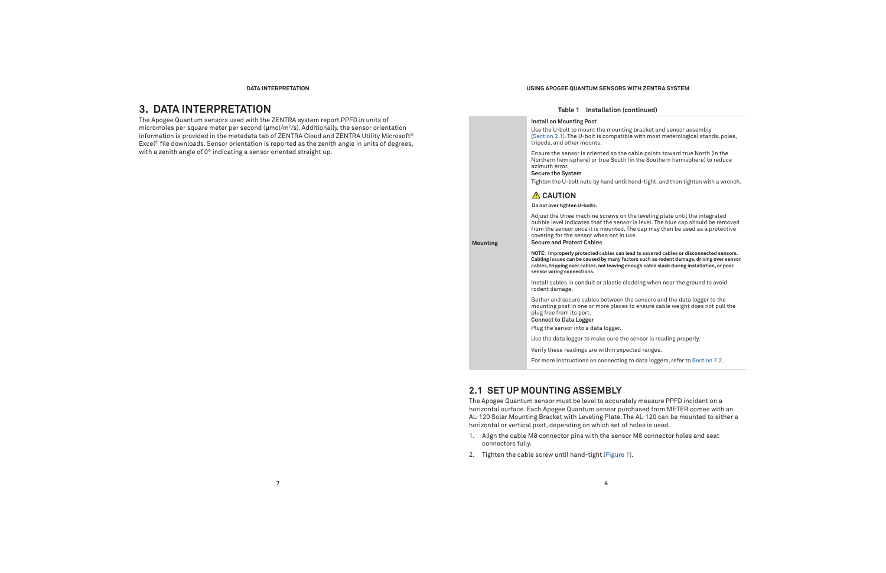#### **DATA INTERPRETATION**

## **3. DATA INTERPRETATION**

The Apogee Quantum sensors used with the ZENTRA system report PPFD in units of micromoles per square meter per second (**μ**mol/m2/s). Additionally, the sensor orientation information is provided in the metadata tab of ZENTRA Cloud and ZENTRA Utility Microsoft® Excel® file downloads. Sensor orientation is reported as the zenith angle in units of degrees, with a zenith angle of 0° indicating a sensor oriented straight up.

#### **USING APOGEE QUANTUM SENSORS WITH ZENTRA SYSTEM**

#### **Table 1 Installation (continued)**

 **Mounting**

#### **Install on Mounting Post**

Use the U-bolt to mount the mounting bracket and sensor assembly (Section 2.1). The U-bolt is compatible with most meterological stands, poles, tripods, and other mounts.

Ensure the sensor is oriented so the cable points toward true North (in the Northern hemisphere) or true South (in the Southern hemisphere) to reduce azimuth error.

#### **Secure the System**

Tighten the U-bolt nuts by hand until hand-tight, and then tighten with a wrench.

#### **A** CAUTION

#### **Do not over tighten U-bolts.**

Adjust the three machine screws on the leveling plate until the integrated bubble level indicates that the sensor is level. The blue cap should be removed from the sensor once it is mounted. The cap may then be used as a protective covering for the sensor when not in use. **Secure and Protect Cables**

**NOTE: Improperly protected cables can lead to severed cables or disconnected sensors. Cabling issues can be caused by many factors such as rodent damage, driving over sensor cables, tripping over cables, not leaving enough cable slack during installation, or poor sensor wiring connections.** 

Install cables in conduit or plastic cladding when near the ground to avoid rodent damage.

Gather and secure cables between the sensors and the data logger to the mounting post in one or more places to ensure cable weight does not pull the plug free from its port.

**Connect to Data Logger**

Plug the sensor into a data logger.

Use the data logger to make sure the sensor is reading properly.

Verify these readings are within expected ranges.

For more instructions on connecting to data loggers, refer to Section 2.2.

## **2.1 SET UP MOUNTING ASSEMBLY**

The Apogee Quantum sensor must be level to accurately measure PPFD incident on a horizontal surface. Each Apogee Quantum sensor purchased from METER comes with an AL-120 Solar Mounting Bracket with Leveling Plate. The AL-120 can be mounted to either a horizontal or vertical post, depending on which set of holes is used.

- 1. Align the cable M8 connector pins with the sensor M8 connector holes and seat connectors fully.
- 2. Tighten the cable screw until hand-tight (Figure 1).